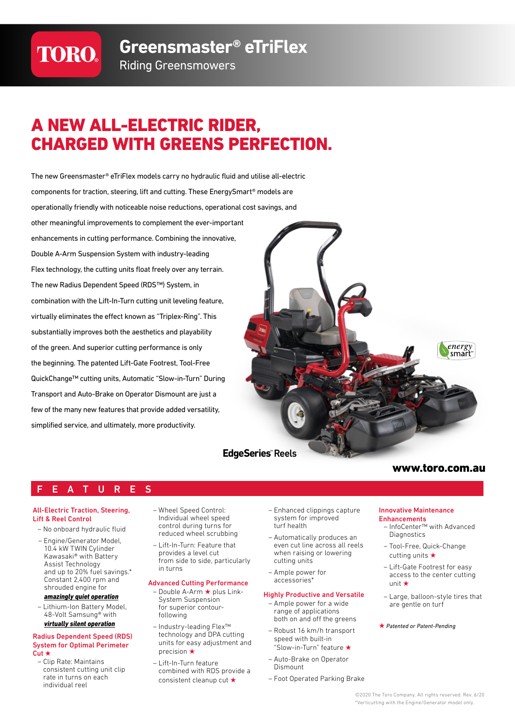# **TORO®**

**Greensmaster® eTriFlex**

### Riding Greensmowers

## A NEW ALL-ELECTRIC RIDER, CHARGED WITH GREENS PERFECTION.

The new Greensmaster® eTriFlex models carry no hydraulic fluid and utilise all-electric components for traction, steering, lift and cutting. These EnergySmart® models are operationally friendly with noticeable noise reductions, operational cost savings, and other meaningful improvements to complement the ever-important enhancements in cutting performance. Combining the innovative, Double A-Arm Suspension System with industry-leading Flex technology, the cutting units float freely over any terrain. The new Radius Dependent Speed (RDS™) System, in combination with the Lift-In-Turn cutting unit leveling feature, virtually eliminates the effect known as "Triplex-Ring". This substantially improves both the aesthetics and playability of the green. And superior cutting performance is only the beginning. The patented Lift-Gate Footrest, Tool-Free QuickChange™ cutting units, Automatic "Slow-in-Turn" During Transport and Auto-Brake on Operator Dismount are just a few of the many new features that provide added versatility, simplified service, and ultimately, more productivity.



### www.toro.com.au

### E A T U R E S

#### All-Electric Traction, Steering, Lift & Reel Control

- No onboard hydraulic fluid
- Engine/Generator Model, 10.4 kW TWIN Cylinder Kawasaki® with Battery Assist Technology and up to 20% fuel savings.\* Constant 2,400 rpm and shrouded engine for

#### *amazingly quiet operation*

– Lithium-Ion Battery Model, 48-Volt Samsung® with *virtually silent operation*

#### Radius Dependent Speed (RDS) System for Optimal Perimeter Cut ★

– Clip Rate: Maintains consistent cutting unit clip rate in turns on each individual reel

- Wheel Speed Control: Individual wheel speed control during turns for reduced wheel scrubbing
- Lift-In-Turn: Feature that provides a level cut from side to side, particularly in turns

#### Advanced Cutting Performance

- Double A-Arm ★ plus Link-System Suspension for superior contourfollowing
- Industry-leading Flex™ technology and DPA cutting units for easy adjustment and precision ★
- Lift-In-Turn feature combined with RDS provide a consistent cleanup cut ★
- Enhanced clippings capture system for improved turf health
- Automatically produces an even cut line across all reels when raising or lowering cutting units
- Ample power for accessories\*

#### Highly Productive and Versatile

- Ample power for a wide range of applications both on and off the greens
- Robust 16 km/h transport speed with built-in "Slow-in-Turn" feature ★
- Auto-Brake on Operator Dismount
- Foot Operated Parking Brake

#### Innovative Maintenance **Enhancements**

- InfoCenter™ with Advanced **Diagnostics**
- Tool-Free, Quick-Change cutting units ★
- Lift-Gate Footrest for easy access to the center cutting unit ★
- Large, balloon-style tires that are gentle on turf
- ★ *Patented or Patent-Pending*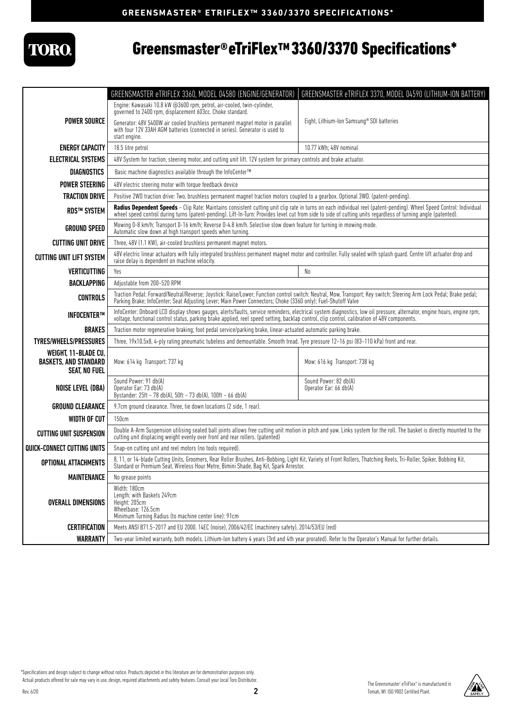

## Greensmaster®eTriFlex™3360/3370 Specifications\*

|                                                                              | GREENSMASTER eTRIFLEX 3360, MODEL 04580 (ENGINE/GENERATOR)                                                                                                                                                                                                                                                             | GREENSMASTER eTRIFLEX 3370, MODEL 04590 (LITHIUM-ION BATTERY) |
|------------------------------------------------------------------------------|------------------------------------------------------------------------------------------------------------------------------------------------------------------------------------------------------------------------------------------------------------------------------------------------------------------------|---------------------------------------------------------------|
|                                                                              | Engine: Kawasaki 10.8 kW @3600 rpm, petrol, air-cooled, twin-cylinder,<br>governed to 2400 rpm, displacement 603cc. Choke standard.                                                                                                                                                                                    |                                                               |
| <b>POWER SOURCE</b>                                                          |                                                                                                                                                                                                                                                                                                                        | Eight, Lithium-Ion Samsung® SDI batteries                     |
|                                                                              | Generator: 48V 5400W air cooled brushless permanent magnet motor in parallel<br>with four 12V 33AH AGM batteries (connected in series). Generator is used to<br>start engine.                                                                                                                                          |                                                               |
| <b>ENERGY CAPACITY</b>                                                       | 18.5 litre petrol                                                                                                                                                                                                                                                                                                      | 10.77 kWh; 48V nominal                                        |
| <b>ELECTRICAL SYSTEMS</b>                                                    | 48V System for traction, steering motor, and cutting unit lift. 12V system for primary controls and brake actuator.                                                                                                                                                                                                    |                                                               |
| <b>DIAGNOSTICS</b>                                                           | Basic machine diagnostics available through the InfoCenter™                                                                                                                                                                                                                                                            |                                                               |
| <b>POWER STEERING</b>                                                        | 48V electric steering motor with torque feedback device                                                                                                                                                                                                                                                                |                                                               |
| <b>TRACTION DRIVE</b>                                                        | Positive 2WD traction drive: Two, brushless permanent magnet traction motors coupled to a gearbox. Optional 3WD. (patent-pending).                                                                                                                                                                                     |                                                               |
| <b>RDS™ SYSTEM</b>                                                           | Radius Dependent Speeds – Clip Rate: Maintains consistent cutting unit clip rate in turns on each individual reel (patent-pending). Wheel Speed Control: Individual<br>wheel speed control during turns (patent-pending). Lift-In                                                                                      |                                                               |
| <b>GROUND SPEED</b>                                                          | Mowing 0-8 km/h; Transport 0-16 km/h; Reverse 0-4.8 km/h. Selective slow down feature for turning in mowing mode.<br>Automatic slow down at high transport speeds when turning.                                                                                                                                        |                                                               |
| <b>CUTTING UNIT DRIVE</b>                                                    | Three, 48V (1.1 KW), air-cooled brushless permanent magnet motors.                                                                                                                                                                                                                                                     |                                                               |
| <b>CUTTING UNIT LIFT SYSTEM</b>                                              | 48V electric linear actuators with fully integrated brushless permanent magnet motor and controller. Fully sealed with splash guard. Centre lift actuator drop and<br>raise delay is dependent on machine velocity.                                                                                                    |                                                               |
| <b>VERTICUTTING</b>                                                          | Yes                                                                                                                                                                                                                                                                                                                    | No                                                            |
| <b>BACKLAPPING</b>                                                           | Adjustable from 200-520 RPM                                                                                                                                                                                                                                                                                            |                                                               |
| <b>CONTROLS</b>                                                              | Traction Pedal: Forward/Neutral/Reverse; Joystick: Raise/Lower; Function control switch: Neutral, Mow, Transport; Key switch; Steering Arm Lock Pedal; Brake pedal;<br>Parking Brake; InfoCenter; Seat Adjusting Lever; Main Power Connectors; Choke (3360 only); Fuel-Shutoff Valve                                   |                                                               |
| <b>INFOCENTERTM</b>                                                          | InfoCenter: Onboard LCD display shows qauges, alerts/faults, service reminders, electrical system diagnostics, low oil pressure, alternator, engine hours, engine rpm,<br>voltage, functional control status, parking brake applied, reel speed setting, backlap control, clip control, calibration of 48V components. |                                                               |
| <b>BRAKES</b>                                                                | Traction motor regenerative braking; foot pedal service/parking brake, linear-actuated automatic parking brake.                                                                                                                                                                                                        |                                                               |
| <b>TYRES/WHEELS/PRESSURES</b>                                                | Three, 19x10.5x8, 4-ply rating pneumatic tubeless and demountable. Smooth tread. Tyre pressure 12-16 psi (83-110 kPa) front and rear.                                                                                                                                                                                  |                                                               |
| WEIGHT, 11-BLADE CU,<br><b>BASKETS, AND STANDARD</b><br><b>SEAT, NO FUEL</b> | Mow: 614 kg Transport: 737 kg                                                                                                                                                                                                                                                                                          | Mow: 616 kg Transport: 738 kg                                 |
| <b>NOISE LEVEL (DBA)</b>                                                     | Sound Power: 91 db(A)<br>Operator Ear: 73 db(A)<br>Bystander: 25ft - 78 db(A), 50ft - 73 db(A), 100ft - 66 db(A)                                                                                                                                                                                                       | Sound Power: 82 db(A)<br>Operator Ear: 66 db(A)               |
| <b>GROUND CLEARANCE</b>                                                      | 9.7cm ground clearance. Three, tie down locations (2 side, 1 rear).                                                                                                                                                                                                                                                    |                                                               |
| <b>WIDTH OF CUT</b>                                                          | 150cm                                                                                                                                                                                                                                                                                                                  |                                                               |
| <b>CUTTING UNIT SUSPENSION</b>                                               | Double A-Arm Suspension utilising sealed ball joints allows free cutting unit motion in pitch and yaw. Links system for the roll. The basket is directly mounted to the<br>cutting unit displacing weight evenly over front and rear rollers. (patented)                                                               |                                                               |
| QUICK-CONNECT CUTTING UNITS                                                  | Snap-on cutting unit and reel motors (no tools required).                                                                                                                                                                                                                                                              |                                                               |
| <b>OPTIONAL ATTACHMENTS</b>                                                  | 8, 11, or 14-blade Cutting Units, Groomers, Rear Roller Brushes, Anti-Bobbing, Light Kit, Variety of Front Rollers, Thatching Reels, Tri-Roller, Spiker, Bobbing Kit,<br>Standard or Premium Seat, Wireless Hour Metre, Bimini Shade, Bag Kit, Spark Arrestor.                                                         |                                                               |
| <b>MAINTENANCE</b>                                                           | No grease points                                                                                                                                                                                                                                                                                                       |                                                               |
| <b>OVERALL DIMENSIONS</b>                                                    | Width: 180cm<br>Length: with Baskets 249cm<br>Height: 205cm<br>Wheelbase: 126.5cm                                                                                                                                                                                                                                      |                                                               |
| <b>CERTIFICATION</b>                                                         | Minimum Turning Radius (to machine center line): 91cm<br>Meets ANSI B71.5-2017 and EU 2000. 14EC (noise), 2006/42/EC (machinery safety), 2014/53/EU (red)                                                                                                                                                              |                                                               |
| <b>WARRANTY</b>                                                              | Two-year limited warranty, both models. Lithium-Ion battery 4 years (3rd and 4th year prorated). Refer to the Operator's Manual for further details.                                                                                                                                                                   |                                                               |
|                                                                              |                                                                                                                                                                                                                                                                                                                        |                                                               |

\*Specifications and design subject to change without notice. Products depicted in this literature are for demonstration purposes only. Actual products offered for sale may vary in use, design, required attachments and safety features. Consult your local Toro Distributor.

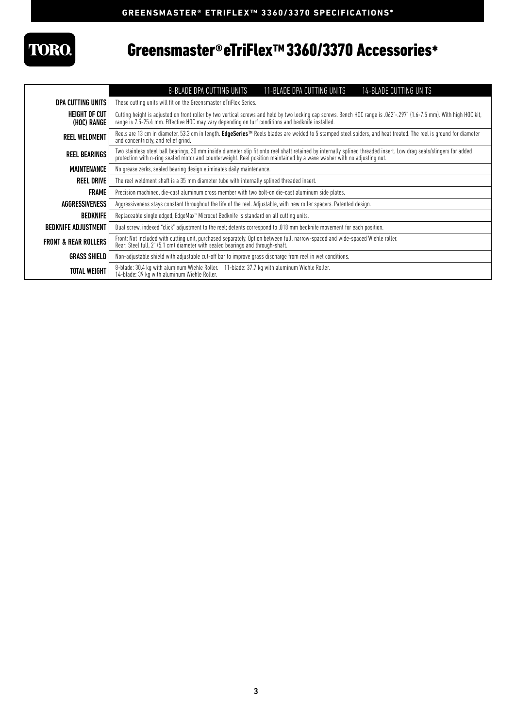# **TORO**

### Greensmaster®eTriFlex™3360/3370 Accessories\*

|                                 | <b>14-BLADE CUTTING UNITS</b><br>8-BLADE DPA CUTTING UNITS<br>11-BLADE DPA CUTTING UNITS                                                                                                                                                                                                       |  |
|---------------------------------|------------------------------------------------------------------------------------------------------------------------------------------------------------------------------------------------------------------------------------------------------------------------------------------------|--|
| DPA CUTTING UNITS               | These cutting units will fit on the Greensmaster eTriFlex Series.                                                                                                                                                                                                                              |  |
| HEIGHT OF CUT<br>(HOC) RANGE    | Cutting height is adjusted on front roller by two vertical screws and held by two locking cap screws. Bench HOC range is .062"-.297" (1.6-7.5 mm). With high HOC kit,<br>range is 7.5-25.4 mm. Effective HOC may vary depending on turf conditions and bedknife installed.                     |  |
| <b>REEL WELDMENT</b>            | Reels are 13 cm in diameter, 53.3 cm in length. <b>EdgeSeries™</b> Reels blades are welded to 5 stamped steel spiders, and heat treated. The reel is ground for diameter<br>and concentricity, and relief grind.                                                                               |  |
| <b>REEL BEARINGS</b>            | Two stainless steel ball bearings, 30 mm inside diameter slip fit onto reel shaft retained by internally splined threaded insert. Low drag seals/slingers for added<br>protection with o-ring sealed motor and counterweight. Reel position maintained by a wave washer with no adjusting nut. |  |
| MAINTENANCE                     | No grease zerks, sealed bearing design eliminates daily maintenance.                                                                                                                                                                                                                           |  |
| <b>REEL DRIVE</b>               | The reel weldment shaft is a 35 mm diameter tube with internally splined threaded insert.                                                                                                                                                                                                      |  |
| <b>FRAME</b>                    | Precision machined, die-cast aluminum cross member with two bolt-on die-cast aluminum side plates.                                                                                                                                                                                             |  |
| AGGRESSIVENESS                  | Aggressiveness stays constant throughout the life of the reel. Adjustable, with new roller spacers. Patented design.                                                                                                                                                                           |  |
| <b>BEDKNIFE</b>                 | Replaceable single edged, EdgeMax <sup>™</sup> Microcut Bedknife is standard on all cutting units.                                                                                                                                                                                             |  |
| <b>BEDKNIFE ADJUSTMENT</b>      | Dual screw, indexed "click" adjustment to the reel; detents correspond to .018 mm bedknife movement for each position.                                                                                                                                                                         |  |
| <b>FRONT &amp; REAR ROLLERS</b> | Front: Not included with cutting unit, purchased separately. Option between full, narrow-spaced and wide-spaced Wiehle roller.<br>Rear: Steel full, 2" (5.1 cm) diameter with sealed bearings and through-shaft.                                                                               |  |
| <b>GRASS SHIELD</b>             | Non-adjustable shield with adjustable cut-off bar to improve grass discharge from reel in wet conditions.                                                                                                                                                                                      |  |
| TOTAL WEIGHT                    | 8-blade: 30.4 kg with aluminum Wiehle Roller. 11-blade: 37.7 kg with aluminum Wiehle Roller.<br>14-blade: 39 kg with aluminum Wiehle Roller.                                                                                                                                                   |  |